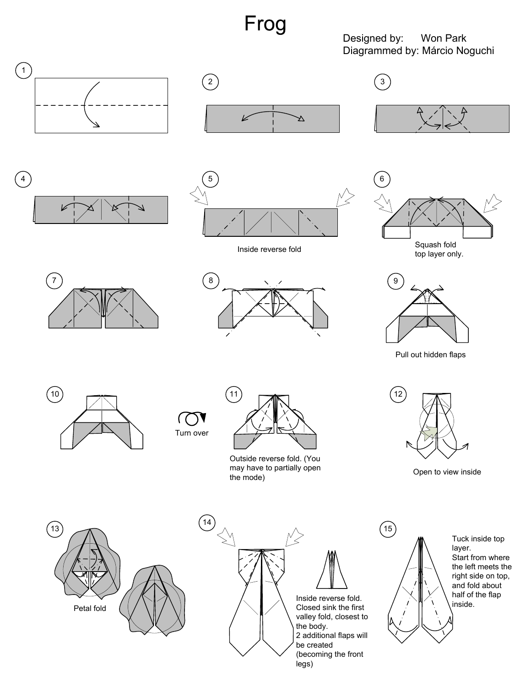## Frog

Designed by: Won Park Diagrammed by: Márcio Noguchi



















Pull out hidden flaps



(( Turn over

 $14$ 



Outside reverse fold. (You may have to partially open the mode)



Open to view inside





Inside reverse fold. Closed sink the first valley fold, closest to 2 additional flaps will (becoming the front legs)



Tuck inside top layer. Start from where the left meets the right side on top, and fold about half of the flap inside.